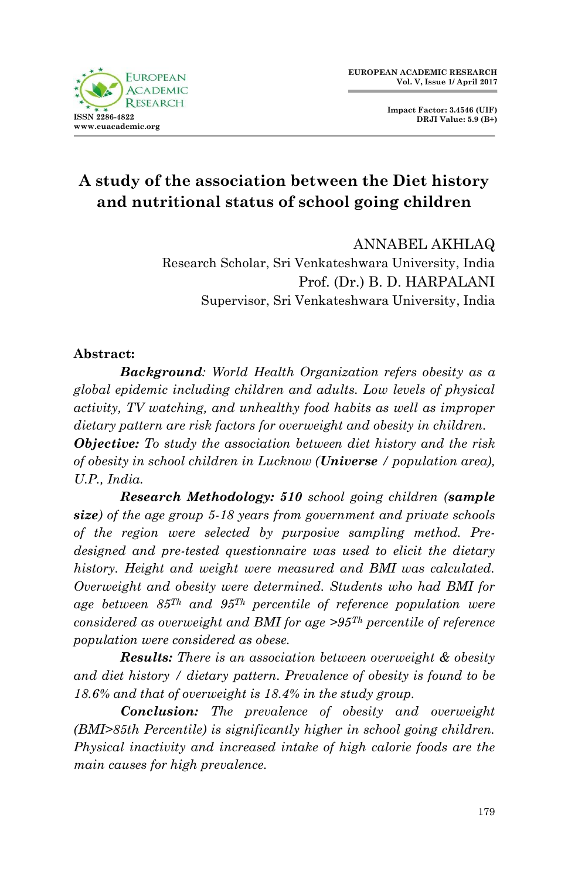

**Impact Factor: 3.4546 (UIF) DRJI Value: 5.9 (B+)**

# **A study of the association between the Diet history and nutritional status of school going children**

ANNABEL AKHLAQ Research Scholar, Sri Venkateshwara University, India Prof. (Dr.) B. D. HARPALANI Supervisor, Sri Venkateshwara University, India

### **Abstract:**

*Background: World Health Organization refers obesity as a global epidemic including children and adults. Low levels of physical activity, TV watching, and unhealthy food habits as well as improper dietary pattern are risk factors for overweight and obesity in children. Objective: To study the association between diet history and the risk of obesity in school children in Lucknow (Universe / population area), U.P., India.*

*Research Methodology: 510 school going children (sample size) of the age group 5-18 years from government and private schools of the region were selected by purposive sampling method. Predesigned and pre-tested questionnaire was used to elicit the dietary history. Height and weight were measured and BMI was calculated. Overweight and obesity were determined. Students who had BMI for age between 85Th and 95Th percentile of reference population were considered as overweight and BMI for age >95Th percentile of reference population were considered as obese.* 

*Results: There is an association between overweight & obesity and diet history / dietary pattern. Prevalence of obesity is found to be 18.6% and that of overweight is 18.4% in the study group.* 

*Conclusion: The prevalence of obesity and overweight (BMI>85th Percentile) is significantly higher in school going children. Physical inactivity and increased intake of high calorie foods are the main causes for high prevalence.*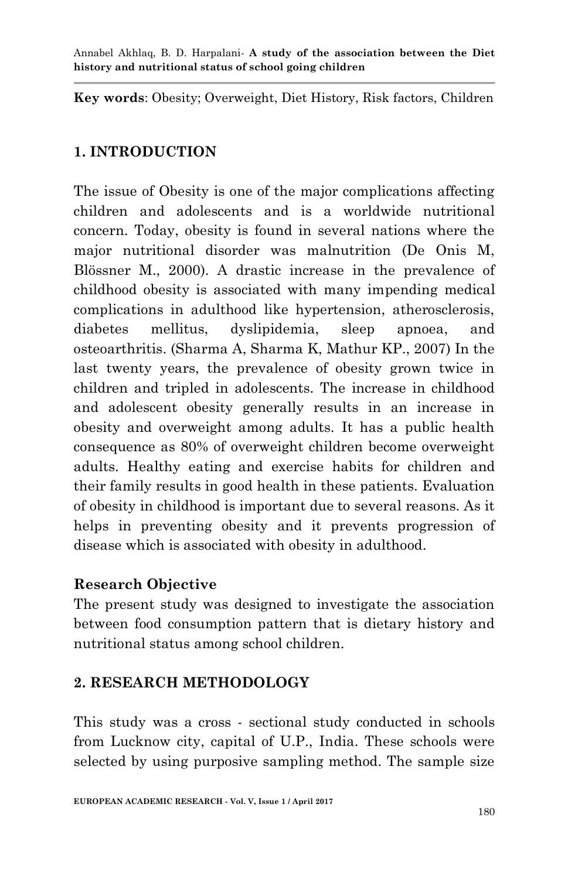**Key words**: Obesity; Overweight, Diet History, Risk factors, Children

## **1. INTRODUCTION**

The issue of Obesity is one of the major complications affecting children and adolescents and is a worldwide nutritional concern. Today, obesity is found in several nations where the major nutritional disorder was malnutrition (De Onis M, Blössner M., 2000). A drastic increase in the prevalence of childhood obesity is associated with many impending medical complications in adulthood like hypertension, atherosclerosis, diabetes mellitus, dyslipidemia, sleep apnoea, and osteoarthritis. (Sharma A, Sharma K, Mathur KP., 2007) In the last twenty years, the prevalence of obesity grown twice in children and tripled in adolescents. The increase in childhood and adolescent obesity generally results in an increase in obesity and overweight among adults. It has a public health consequence as 80% of overweight children become overweight adults. Healthy eating and exercise habits for children and their family results in good health in these patients. Evaluation of obesity in childhood is important due to several reasons. As it helps in preventing obesity and it prevents progression of disease which is associated with obesity in adulthood.

## **Research Objective**

The present study was designed to investigate the association between food consumption pattern that is dietary history and nutritional status among school children.

## **2. RESEARCH METHODOLOGY**

This study was a cross - sectional study conducted in schools from Lucknow city, capital of U.P., India. These schools were selected by using purposive sampling method. The sample size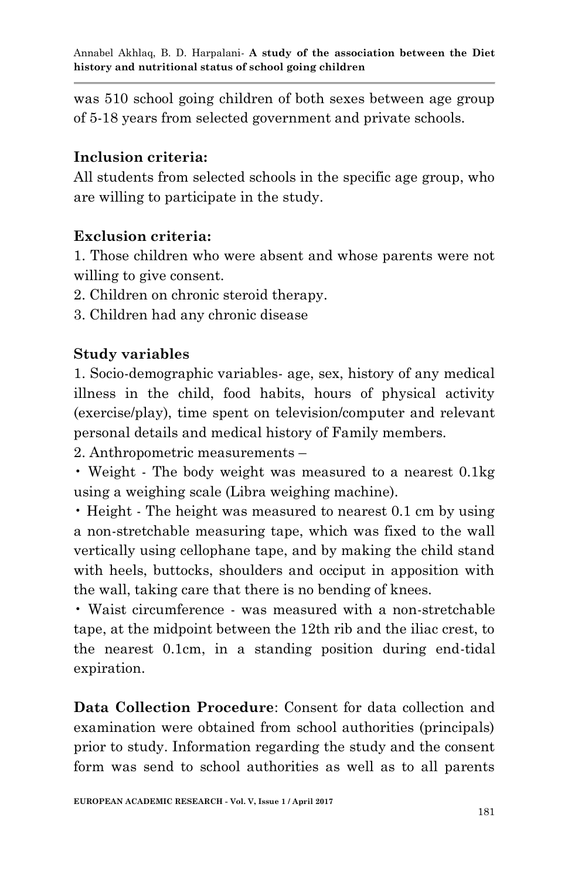was 510 school going children of both sexes between age group of 5-18 years from selected government and private schools.

## **Inclusion criteria:**

All students from selected schools in the specific age group, who are willing to participate in the study.

## **Exclusion criteria:**

1. Those children who were absent and whose parents were not willing to give consent.

- 2. Children on chronic steroid therapy.
- 3. Children had any chronic disease

## **Study variables**

1. Socio-demographic variables- age, sex, history of any medical illness in the child, food habits, hours of physical activity (exercise/play), time spent on television/computer and relevant personal details and medical history of Family members.

2. Anthropometric measurements –

• Weight - The body weight was measured to a nearest 0.1kg using a weighing scale (Libra weighing machine).

• Height - The height was measured to nearest 0.1 cm by using a non-stretchable measuring tape, which was fixed to the wall vertically using cellophane tape, and by making the child stand with heels, buttocks, shoulders and occiput in apposition with the wall, taking care that there is no bending of knees.

• Waist circumference - was measured with a non-stretchable tape, at the midpoint between the 12th rib and the iliac crest, to the nearest 0.1cm, in a standing position during end-tidal expiration.

**Data Collection Procedure**: Consent for data collection and examination were obtained from school authorities (principals) prior to study. Information regarding the study and the consent form was send to school authorities as well as to all parents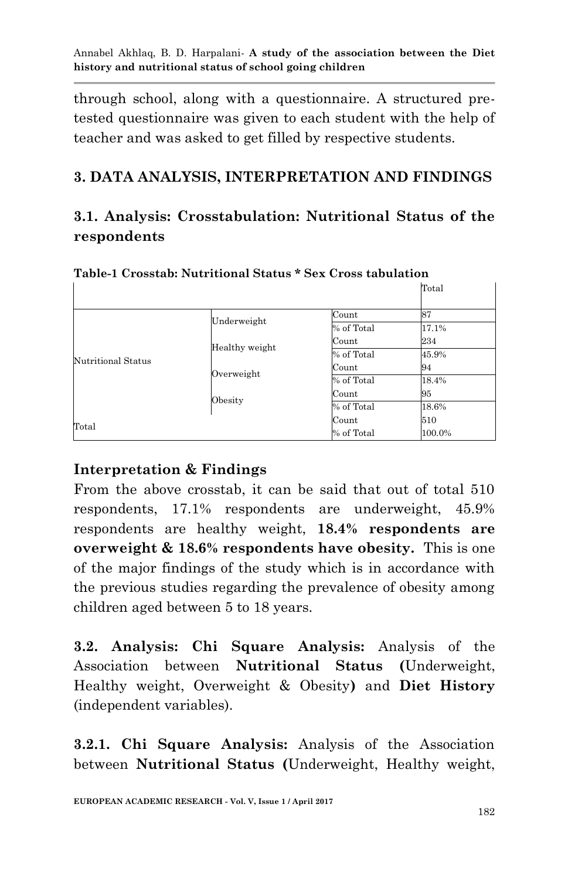through school, along with a questionnaire. A structured pretested questionnaire was given to each student with the help of teacher and was asked to get filled by respective students.

## **3. DATA ANALYSIS, INTERPRETATION AND FINDINGS**

## **3.1. Analysis: Crosstabulation: Nutritional Status of the respondents**

|                              |                |            | Total  |
|------------------------------|----------------|------------|--------|
|                              |                | Count      | 87     |
|                              | Underweight    | % of Total | 17.1%  |
|                              |                | Count      | 234    |
| Nutritional Status           | Healthy weight | % of Total | 45.9%  |
|                              | Overweight     | Count      | 94     |
|                              |                | % of Total | 18.4%  |
|                              |                | Count      | 95     |
|                              | Obesity        | % of Total | 18.6%  |
| Count<br>Total<br>% of Total |                |            | 510    |
|                              |                |            | 100.0% |

**Table-1 Crosstab: Nutritional Status \* Sex Cross tabulation**

## **Interpretation & Findings**

From the above crosstab, it can be said that out of total 510 respondents, 17.1% respondents are underweight, 45.9% respondents are healthy weight, **18.4% respondents are overweight & 18.6% respondents have obesity.** This is one of the major findings of the study which is in accordance with the previous studies regarding the prevalence of obesity among children aged between 5 to 18 years.

**3.2. Analysis: Chi Square Analysis:** Analysis of the Association between **Nutritional Status (**Underweight, Healthy weight, Overweight & Obesity**)** and **Diet History** (independent variables).

**3.2.1. Chi Square Analysis:** Analysis of the Association between **Nutritional Status (**Underweight, Healthy weight,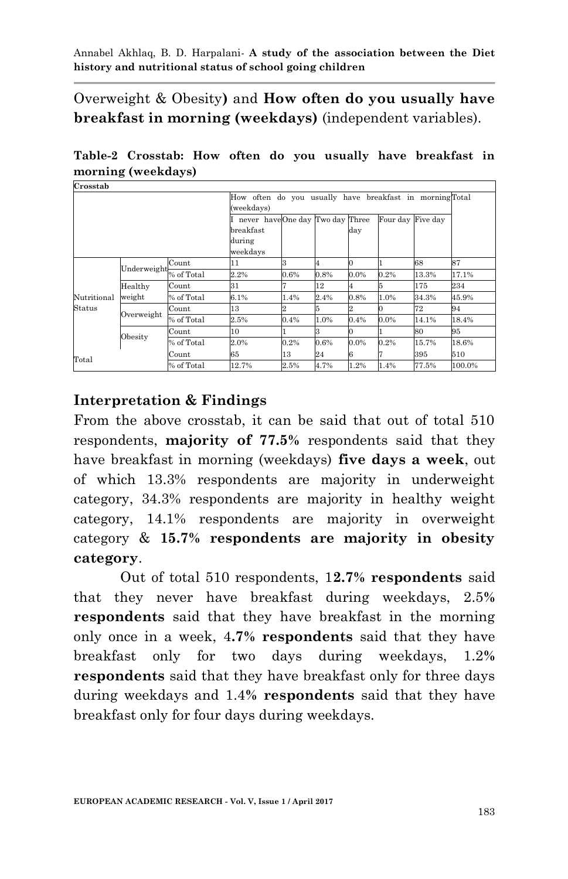Overweight & Obesity**)** and **How often do you usually have breakfast in morning (weekdays)** (independent variables).

**Table-2 Crosstab: How often do you usually have breakfast in morning (weekdays)**

| Crosstab    |                   |            |                                                                       |         |      |      |          |          |        |
|-------------|-------------------|------------|-----------------------------------------------------------------------|---------|------|------|----------|----------|--------|
|             |                   |            | How often do you usually have breakfast in morningTotal<br>(weekdays) |         |      |      |          |          |        |
|             |                   |            | never haveOne day Two day Three<br>breakfast<br>during                |         |      | day  | Four day | Five day |        |
|             |                   |            | weekdays                                                              |         |      |      |          |          |        |
|             | Underweight       | Count      | 11                                                                    |         |      |      |          | 68       | 87     |
|             |                   | % of Total | 2.2%                                                                  | $0.6\%$ | 0.8% | 0.0% | 0.2%     | 13.3%    | 17.1%  |
|             | Healthy<br>weight | Count      | 31                                                                    |         | 12   |      |          | 175      | 234    |
| Nutritional |                   | % of Total | 6.1%                                                                  | 1.4%    | 2.4% | 0.8% | 1.0%     | 34.3%    | 45.9%  |
| Status      | Overweight        | Count      | 13                                                                    |         |      |      |          | 72       | 94     |
|             |                   | % of Total | 2.5%                                                                  | 0.4%    | 1.0% | 0.4% | $0.0\%$  | 14.1%    | 18.4%  |
|             |                   | Count      | 10                                                                    |         |      |      |          | 80       | 95     |
|             | Obesity           | % of Total | 2.0%                                                                  | $0.2\%$ | 0.6% | 0.0% | 0.2%     | 15.7%    | 18.6%  |
|             |                   | Count      | 65                                                                    | 13      | 24   | б    |          | 395      | 510    |
| Total       |                   | % of Total | 12.7%                                                                 | 2.5%    | 4.7% | 1.2% | 1.4%     | 77.5%    | 100.0% |

### **Interpretation & Findings**

From the above crosstab, it can be said that out of total 510 respondents, **majority of 77.5%** respondents said that they have breakfast in morning (weekdays) **five days a week**, out of which 13.3% respondents are majority in underweight category, 34.3% respondents are majority in healthy weight category, 14.1% respondents are majority in overweight category & **15.7% respondents are majority in obesity category**.

Out of total 510 respondents, 1**2.7% respondents** said that they never have breakfast during weekdays, 2.5**% respondents** said that they have breakfast in the morning only once in a week, 4**.7% respondents** said that they have breakfast only for two days during weekdays, 1.2**% respondents** said that they have breakfast only for three days during weekdays and 1.4**% respondents** said that they have breakfast only for four days during weekdays.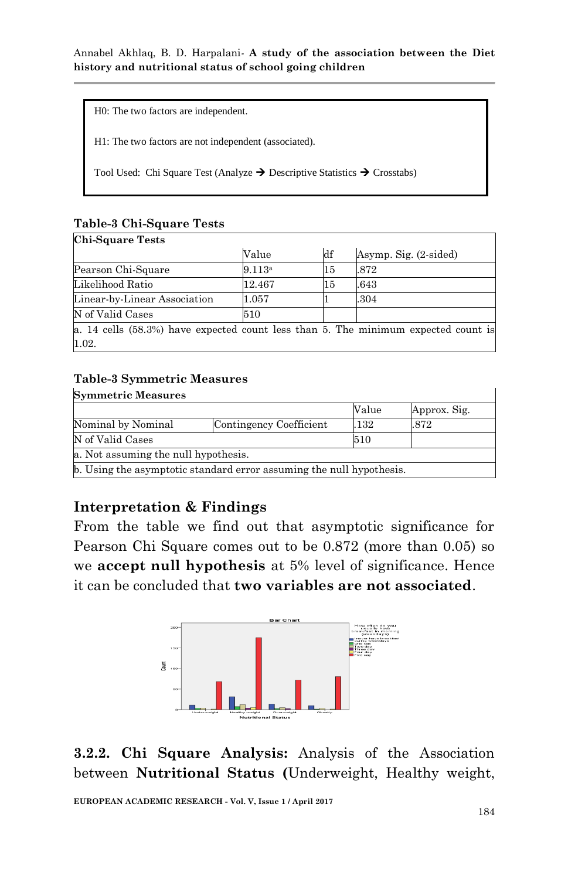H0: The two factors are independent.

H1: The two factors are not independent (associated).

Tool Used: Chi Square Test (Analyze  $\rightarrow$  Descriptive Statistics  $\rightarrow$  Crosstabs)

#### **Table-3 Chi-Square Tests Chi-Square Tests**

|                                                                                      | Value  | df | Asymp. Sig. (2-sided) |
|--------------------------------------------------------------------------------------|--------|----|-----------------------|
| Pearson Chi-Square                                                                   | 9.113a | 15 | .872                  |
| Likelihood Ratio                                                                     | 12.467 | 15 | .643                  |
| Linear-by-Linear Association                                                         | 1.057  |    | .304                  |
| N of Valid Cases                                                                     | 510    |    |                       |
| a. 14 cells $(58.3%)$ have expected count less than 5. The minimum expected count is |        |    |                       |
| 1.02.                                                                                |        |    |                       |

### **Table-3 Symmetric Measures**

| <b>Symmetric Measures</b>                                            |                         |       |              |  |  |  |
|----------------------------------------------------------------------|-------------------------|-------|--------------|--|--|--|
|                                                                      |                         | Value | Approx. Sig. |  |  |  |
| Nominal by Nominal                                                   | Contingency Coefficient | .132  | .872         |  |  |  |
| N of Valid Cases                                                     | 510                     |       |              |  |  |  |
| a. Not assuming the null hypothesis.                                 |                         |       |              |  |  |  |
| b. Using the asymptotic standard error assuming the null hypothesis. |                         |       |              |  |  |  |

## **Interpretation & Findings**

From the table we find out that asymptotic significance for Pearson Chi Square comes out to be 0.872 (more than 0.05) so we **accept null hypothesis** at 5% level of significance. Hence it can be concluded that **two variables are not associated**.



**3.2.2. Chi Square Analysis:** Analysis of the Association between **Nutritional Status (**Underweight, Healthy weight,

**EUROPEAN ACADEMIC RESEARCH - Vol. V, Issue 1 / April 2017**

1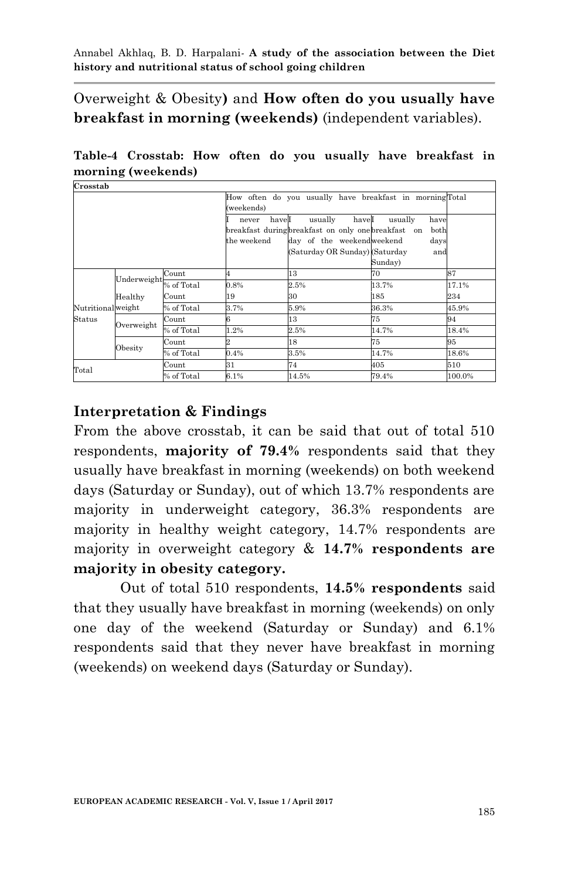Overweight & Obesity**)** and **How often do you usually have breakfast in morning (weekends)** (independent variables).

**Table-4 Crosstab: How often do you usually have breakfast in morning (weekends)**

| Crosstab           |             |            |                               |                                                                                                                                        |                                                   |        |
|--------------------|-------------|------------|-------------------------------|----------------------------------------------------------------------------------------------------------------------------------------|---------------------------------------------------|--------|
|                    |             |            | (weekends)                    | How often do you usually have breakfast in morningTotal                                                                                |                                                   |        |
|                    |             |            | haveI<br>never<br>the weekend | usually<br>haveI<br>breakfast during breakfast on only one breakfast on<br>day of the weekendweekend<br>(Saturday OR Sunday) (Saturday | usually<br>have<br>both<br>days<br>and<br>Sunday) |        |
|                    | Underweight | Count      |                               | 13                                                                                                                                     | 70                                                | 87     |
|                    |             | % of Total | 0.8%                          | 2.5%                                                                                                                                   | 13.7%                                             | 17.1%  |
|                    | Healthy     | Count      | 19                            | 30                                                                                                                                     | 185                                               | 234    |
| Nutritional weight |             | % of Total | 3.7%                          | 5.9%                                                                                                                                   | 36.3%                                             | 45.9%  |
| Status             |             | Count      | 6                             | 13                                                                                                                                     | 75                                                | 94     |
|                    | Overweight  | % of Total | 1.2%                          | 2.5%                                                                                                                                   | 14.7%                                             | 18.4%  |
|                    |             | Count      |                               | 18                                                                                                                                     | 75                                                | 95     |
|                    | Obesity     | % of Total | 0.4%                          | 3.5%                                                                                                                                   | 14.7%                                             | 18.6%  |
| Total              |             | Count      | 31                            | 74                                                                                                                                     | 405                                               | 510    |
|                    |             | % of Total | 6.1%                          | 14.5%                                                                                                                                  | 79.4%                                             | 100.0% |

## **Interpretation & Findings**

From the above crosstab, it can be said that out of total 510 respondents, **majority of 79.4%** respondents said that they usually have breakfast in morning (weekends) on both weekend days (Saturday or Sunday), out of which 13.7% respondents are majority in underweight category, 36.3% respondents are majority in healthy weight category, 14.7% respondents are majority in overweight category & **14.7% respondents are majority in obesity category.**

Out of total 510 respondents, **14.5% respondents** said that they usually have breakfast in morning (weekends) on only one day of the weekend (Saturday or Sunday) and 6.1% respondents said that they never have breakfast in morning (weekends) on weekend days (Saturday or Sunday).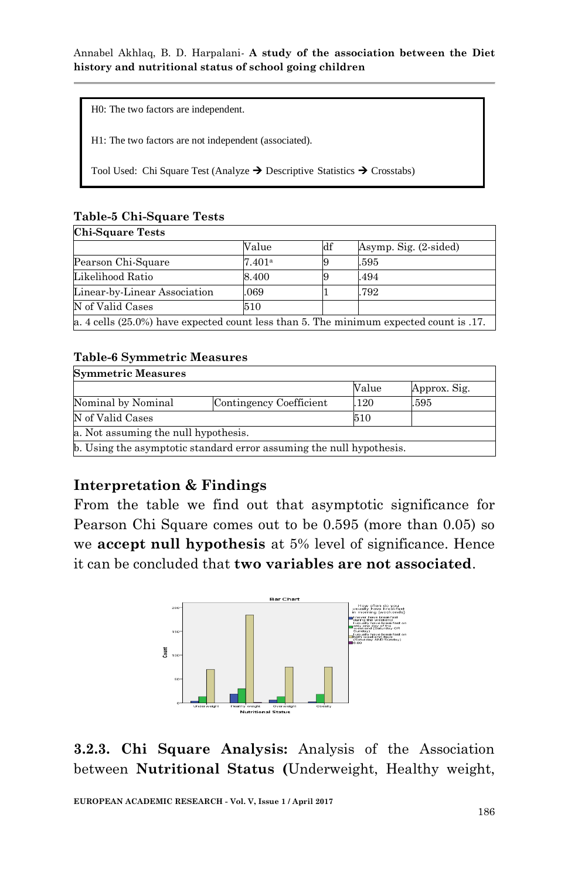H0: The two factors are independent.

H1: The two factors are not independent (associated).

Tool Used: Chi Square Test (Analyze  $\rightarrow$  Descriptive Statistics  $\rightarrow$  Crosstabs)

### **Table-5 Chi-Square Tests**

| <b>Chi-Square Tests</b>                                                                   |        |     |                       |  |  |  |
|-------------------------------------------------------------------------------------------|--------|-----|-----------------------|--|--|--|
|                                                                                           | Value  | ldf | Asymp. Sig. (2-sided) |  |  |  |
| Pearson Chi-Square                                                                        | 7.401a |     | .595                  |  |  |  |
| Likelihood Ratio                                                                          | 8.400  |     | .494                  |  |  |  |
| Linear-by-Linear Association                                                              | .069   |     | .792                  |  |  |  |
| N of Valid Cases                                                                          | 510    |     |                       |  |  |  |
| a. 4 cells $(25.0\%)$ have expected count less than 5. The minimum expected count is .17. |        |     |                       |  |  |  |

### **Table-6 Symmetric Measures**

| <b>Symmetric Measures</b>                                            |                         |       |              |  |  |  |
|----------------------------------------------------------------------|-------------------------|-------|--------------|--|--|--|
|                                                                      |                         | Value | Approx. Sig. |  |  |  |
| Nominal by Nominal                                                   | Contingency Coefficient | 120   | .595         |  |  |  |
| N of Valid Cases                                                     |                         | 510   |              |  |  |  |
| a. Not assuming the null hypothesis.                                 |                         |       |              |  |  |  |
| b. Using the asymptotic standard error assuming the null hypothesis. |                         |       |              |  |  |  |

## **Interpretation & Findings**

From the table we find out that asymptotic significance for Pearson Chi Square comes out to be 0.595 (more than 0.05) so we **accept null hypothesis** at 5% level of significance. Hence it can be concluded that **two variables are not associated**.



**3.2.3. Chi Square Analysis:** Analysis of the Association between **Nutritional Status (**Underweight, Healthy weight,

**EUROPEAN ACADEMIC RESEARCH - Vol. V, Issue 1 / April 2017**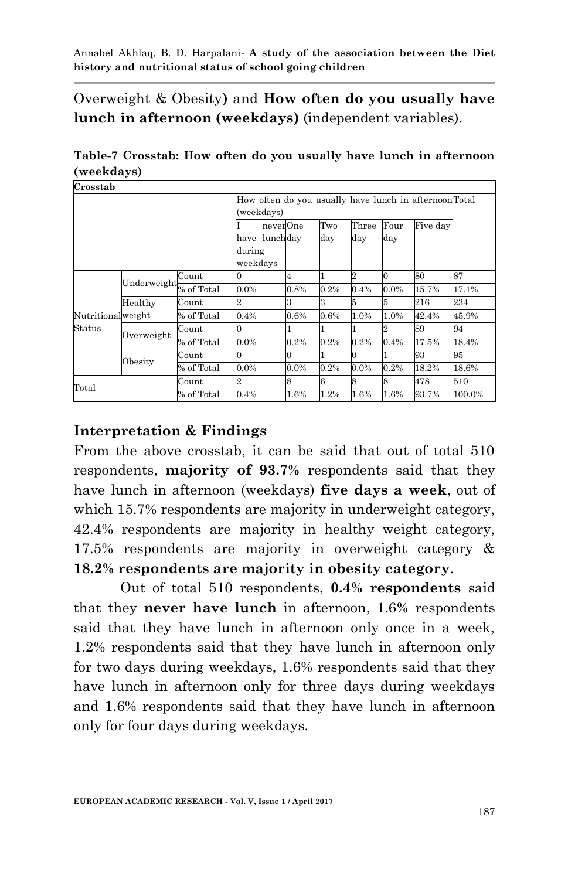Overweight & Obesity**)** and **How often do you usually have lunch in afternoon (weekdays)** (independent variables).

**Table-7 Crosstab: How often do you usually have lunch in afternoon (weekdays)**

| Crosstab            |             |            |                                                       |         |         |         |         |          |        |
|---------------------|-------------|------------|-------------------------------------------------------|---------|---------|---------|---------|----------|--------|
|                     |             |            | How often do you usually have lunch in afternoonTotal |         |         |         |         |          |        |
|                     |             |            | (weekdays)                                            |         |         |         |         |          |        |
|                     |             |            | neverOne                                              |         | Two     | Three   | Four    | Five day |        |
|                     |             |            | have lunchday                                         |         | day     | day     | day     |          |        |
|                     |             |            | during                                                |         |         |         |         |          |        |
|                     |             |            | weekdays                                              |         |         |         |         |          |        |
|                     | Underweight | Count      |                                                       | 4       |         | 2       |         | 80       | 87     |
|                     |             | % of Total | 0.0%                                                  | 0.8%    | 0.2%    | 0.4%    | $0.0\%$ | 15.7%    | 17.1%  |
|                     | Healthy     | Count      |                                                       | з       | 3       | 15      | 5       | $216\,$  | 234    |
| Nutritionalweight   |             | % of Total | 0.4%                                                  | 0.6%    | 0.6%    | 1.0%    | 1.0%    | 42.4%    | 45.9%  |
| Status              |             | Count      | 0                                                     |         |         |         |         | 89       | 94     |
|                     | Overweight  | % of Total | 0.0%                                                  | 0.2%    | $0.2\%$ | 0.2%    | 0.4%    | 17.5%    | 18.4%  |
|                     |             | Count      |                                                       | 0       |         |         |         | 93       | 95     |
|                     | Obesity     | % of Total | 0.0%                                                  | $0.0\%$ | 0.2%    | $0.0\%$ | 0.2%    | 18.2%    | 18.6%  |
| $_{\mathrm{Total}}$ |             | Count      | 2                                                     | 8       | 6       | 8       | 8       | 478      | 510    |
|                     |             | % of Total | 0.4%                                                  | 1.6%    | 1.2%    | 1.6%    | 1.6%    | 93.7%    | 100.0% |

## **Interpretation & Findings**

From the above crosstab, it can be said that out of total 510 respondents, **majority of 93.7%** respondents said that they have lunch in afternoon (weekdays) **five days a week**, out of which 15.7% respondents are majority in underweight category, 42.4% respondents are majority in healthy weight category, 17.5% respondents are majority in overweight category & **18.2% respondents are majority in obesity category**.

Out of total 510 respondents, **0.4% respondents** said that they **never have lunch** in afternoon, 1.6**%** respondents said that they have lunch in afternoon only once in a week, 1.2% respondents said that they have lunch in afternoon only for two days during weekdays, 1.6% respondents said that they have lunch in afternoon only for three days during weekdays and 1.6% respondents said that they have lunch in afternoon only for four days during weekdays.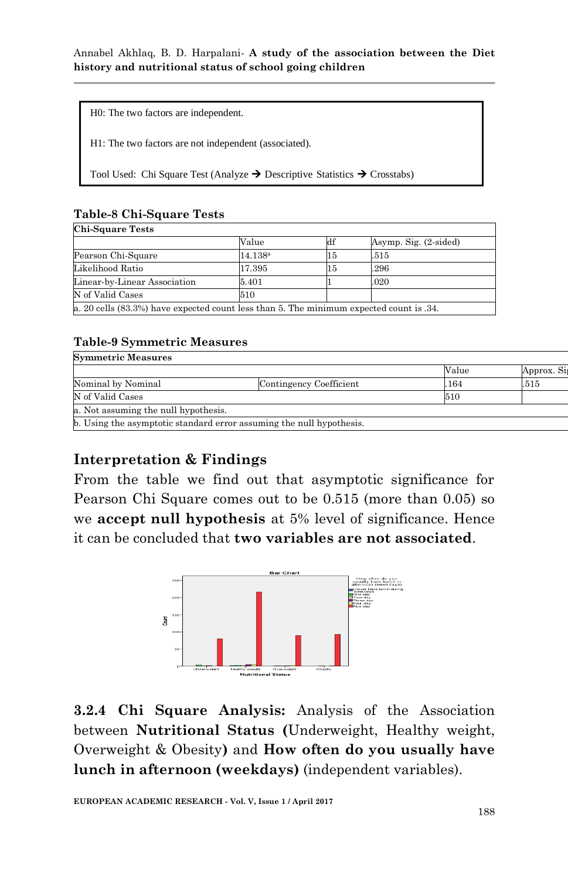H0: The two factors are independent.

H1: The two factors are not independent (associated).

Tool Used: Chi Square Test (Analyze  $\rightarrow$  Descriptive Statistics  $\rightarrow$  Crosstabs)

### **Table-8 Chi-Square Tests**

| Chi-Square Tests                                                                        |                  |    |                       |  |  |  |
|-----------------------------------------------------------------------------------------|------------------|----|-----------------------|--|--|--|
|                                                                                         | Value            | df | Asymp. Sig. (2-sided) |  |  |  |
| Pearson Chi-Square                                                                      | $14.138^{\rm a}$ | 15 | .515                  |  |  |  |
| Likelihood Ratio                                                                        | 17.395           | 15 | .296                  |  |  |  |
| Linear-by-Linear Association                                                            | 5.401            |    | .020                  |  |  |  |
| N of Valid Cases                                                                        | 510              |    |                       |  |  |  |
| a. 20 cells (83.3%) have expected count less than 5. The minimum expected count is .34. |                  |    |                       |  |  |  |

### **Table-9 Symmetric Measures**

| <b>Symmetric Measures</b>                                            |                         |       |            |  |  |  |
|----------------------------------------------------------------------|-------------------------|-------|------------|--|--|--|
|                                                                      |                         | Value | Approx. Si |  |  |  |
| Nominal by Nominal                                                   | Contingency Coefficient | .164  | .515       |  |  |  |
| N of Valid Cases                                                     |                         | 510   |            |  |  |  |
| a. Not assuming the null hypothesis.                                 |                         |       |            |  |  |  |
| b. Using the asymptotic standard error assuming the null hypothesis. |                         |       |            |  |  |  |

## **Interpretation & Findings**

From the table we find out that asymptotic significance for Pearson Chi Square comes out to be 0.515 (more than 0.05) so we **accept null hypothesis** at 5% level of significance. Hence it can be concluded that **two variables are not associated**.



**3.2.4 Chi Square Analysis:** Analysis of the Association between **Nutritional Status (**Underweight, Healthy weight, Overweight & Obesity**)** and **How often do you usually have lunch in afternoon (weekdays)** (independent variables).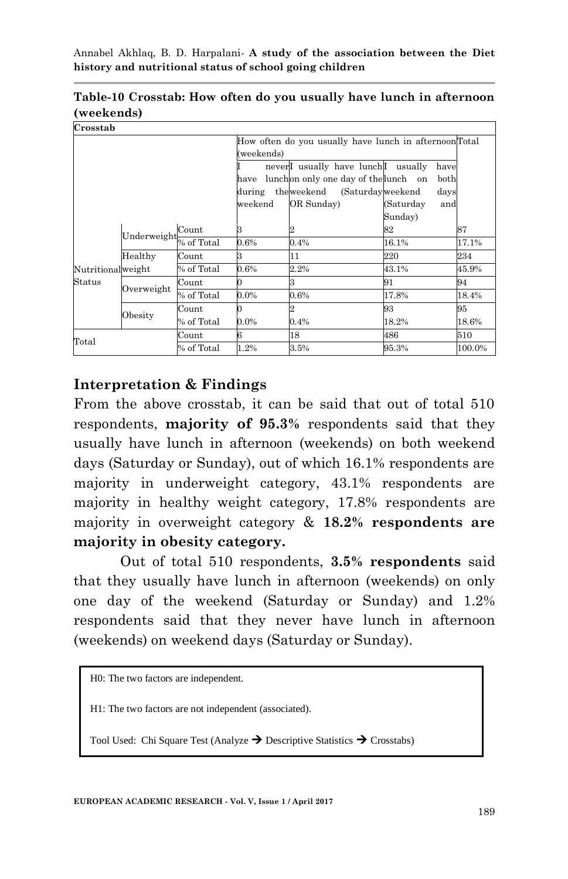| Crosstab          |             |            |            |                                                            |                  |        |  |  |
|-------------------|-------------|------------|------------|------------------------------------------------------------|------------------|--------|--|--|
|                   |             |            |            | How often do you usually have lunch in afternoonTotal      |                  |        |  |  |
|                   |             |            | (weekends) |                                                            |                  |        |  |  |
|                   |             |            |            | never <sup>I</sup> usually have lunch <sup>I</sup> usually | have             |        |  |  |
|                   |             |            | have       | lunchon only one day of the lunch on                       | both             |        |  |  |
|                   |             |            |            | during the weekend (Saturday weekend                       | days             |        |  |  |
|                   |             |            | weekend    | OR Sunday)                                                 | (Saturday<br>and |        |  |  |
|                   |             |            |            |                                                            | Sunday)          |        |  |  |
|                   |             | Count      | з          |                                                            | 82               | 87     |  |  |
|                   | Underweight | % of Total | 0.6%       | 0.4%                                                       | 16.1%            | 17.1%  |  |  |
|                   | Healthy     | Count      | 3          | 11                                                         | 220              | 234    |  |  |
| Nutritionalweight |             | % of Total | $0.6\%$    | 2.2%                                                       | 43.1%            | 45.9%  |  |  |
| Status            | Overweight  | Count      |            | 3                                                          | 91               | 94     |  |  |
|                   |             | % of Total | $0.0\%$    | 0.6%                                                       | 17.8%            | 18.4%  |  |  |
|                   |             | Count      |            |                                                            | 93               | 95     |  |  |
|                   | Obesity     | % of Total | $0.0\%$    | 0.4%                                                       | 18.2%            | 18.6%  |  |  |
|                   |             | Count      | 6          | 18                                                         | 486              | 510    |  |  |
| $_{\rm Total}$    |             | % of Total | 1.2%       | 3.5%                                                       | 95.3%            | 100.0% |  |  |

**Table-10 Crosstab: How often do you usually have lunch in afternoon (weekends)**

### **Interpretation & Findings**

From the above crosstab, it can be said that out of total 510 respondents, **majority of 95.3%** respondents said that they usually have lunch in afternoon (weekends) on both weekend days (Saturday or Sunday), out of which 16.1% respondents are majority in underweight category, 43.1% respondents are majority in healthy weight category, 17.8% respondents are majority in overweight category & **18.2% respondents are majority in obesity category.**

Out of total 510 respondents, **3.5% respondents** said that they usually have lunch in afternoon (weekends) on only one day of the weekend (Saturday or Sunday) and 1.2% respondents said that they never have lunch in afternoon (weekends) on weekend days (Saturday or Sunday).

H0: The two factors are independent.

H1: The two factors are not independent (associated).

Tool Used: Chi Square Test (Analyze  $\rightarrow$  Descriptive Statistics  $\rightarrow$  Crosstabs)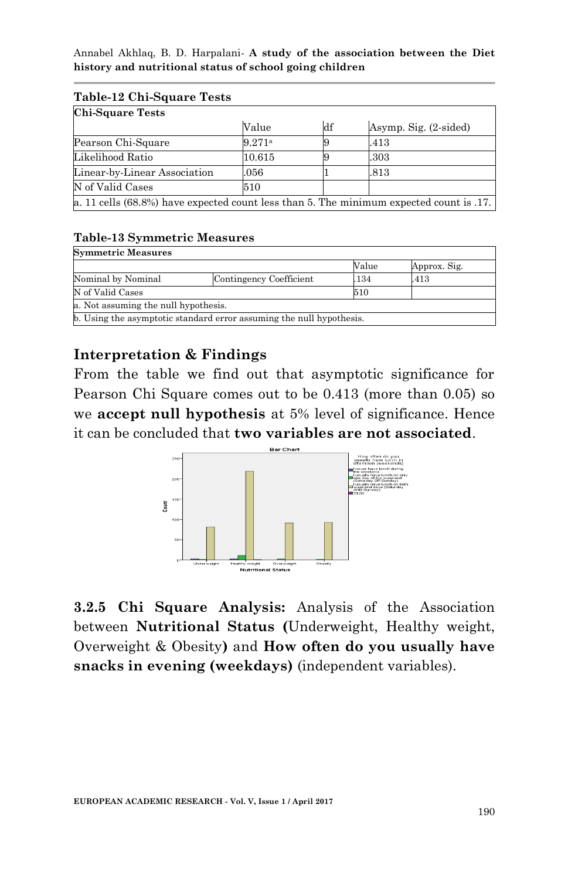| <b>Chi-Square Tests</b>                                                                   |        |    |                       |  |  |  |  |
|-------------------------------------------------------------------------------------------|--------|----|-----------------------|--|--|--|--|
|                                                                                           | Value  | df | Asymp. Sig. (2-sided) |  |  |  |  |
| Pearson Chi-Square                                                                        | 9.271a |    | .413                  |  |  |  |  |
| Likelihood Ratio                                                                          | 10.615 |    | .303                  |  |  |  |  |
| Linear-by-Linear Association                                                              | .056   |    | .813                  |  |  |  |  |
| N of Valid Cases                                                                          | 510    |    |                       |  |  |  |  |
| a. 11 cells $(68.8%)$ have expected count less than 5. The minimum expected count is .17. |        |    |                       |  |  |  |  |

# $T_{\rm{L}}$  11. 19.  $T_{\rm{L}}$  C<sub>1-3</sub>.  $T_{\rm{L}}$

### **Table-13 Symmetric Measures**

| <b>Symmetric Measures</b>                                            |                         |       |              |  |  |  |  |
|----------------------------------------------------------------------|-------------------------|-------|--------------|--|--|--|--|
|                                                                      |                         | Value | Approx. Sig. |  |  |  |  |
| Nominal by Nominal                                                   | Contingency Coefficient | .134  | .413         |  |  |  |  |
| N of Valid Cases                                                     | 510                     |       |              |  |  |  |  |
| a. Not assuming the null hypothesis.                                 |                         |       |              |  |  |  |  |
| b. Using the asymptotic standard error assuming the null hypothesis. |                         |       |              |  |  |  |  |

## **Interpretation & Findings**

From the table we find out that asymptotic significance for Pearson Chi Square comes out to be 0.413 (more than 0.05) so we **accept null hypothesis** at 5% level of significance. Hence it can be concluded that **two variables are not associated**.



**3.2.5 Chi Square Analysis:** Analysis of the Association between **Nutritional Status (**Underweight, Healthy weight, Overweight & Obesity**)** and **How often do you usually have snacks in evening (weekdays)** (independent variables).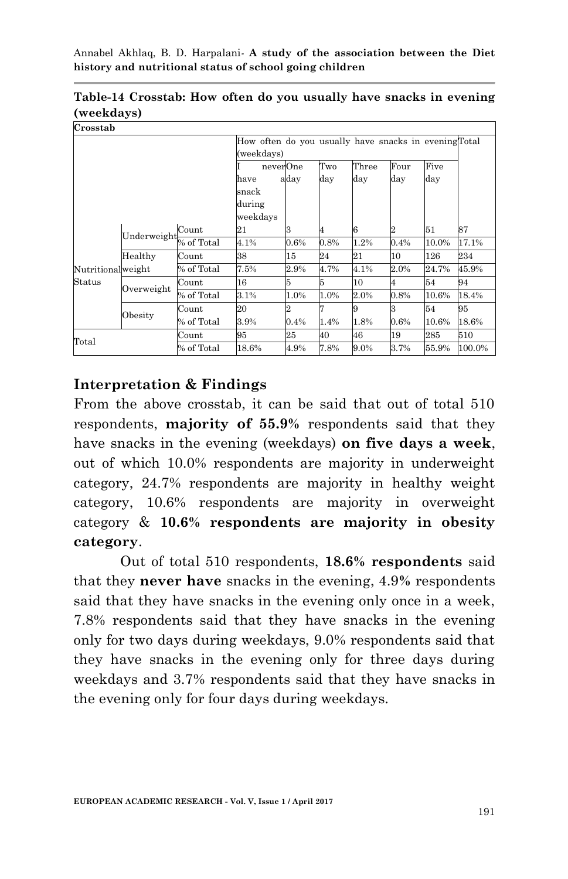| Crosstab          |             |            |                                     |                                                                     |            |              |             |             |        |  |
|-------------------|-------------|------------|-------------------------------------|---------------------------------------------------------------------|------------|--------------|-------------|-------------|--------|--|
|                   |             |            |                                     | How often do you usually have snacks in evening Total<br>(weekdays) |            |              |             |             |        |  |
|                   |             |            | neverOne<br>have<br>snack<br>during | aday                                                                | Two<br>day | Three<br>day | Four<br>day | Five<br>day |        |  |
|                   |             |            | weekdays                            | 3                                                                   |            | 6            | 2           | 51          | 87     |  |
|                   | Underweight | Count      | 21                                  |                                                                     | 4          |              |             |             |        |  |
|                   |             | % of Total | 4.1%                                | $0.6\%$                                                             | 0.8%       | 1.2%         | 0.4%        | 10.0%       | 17.1%  |  |
|                   | Healthy     | Count      | 38                                  | 15                                                                  | 24         | 21           | 10          | 126         | 234    |  |
| Nutritionalweight |             | % of Total | 7.5%                                | 2.9%                                                                | 4.7%       | 4.1%         | $2.0\%$     | 24.7%       | 45.9%  |  |
| Status            | Overweight  | Count      | 16                                  | 5                                                                   | 5          | 10           |             | 54          | 94     |  |
|                   |             | % of Total | 3.1%                                | 1.0%                                                                | 1.0%       | 2.0%         | 0.8%        | 10.6%       | 18.4%  |  |
|                   | Obesity     | Count      | 20                                  |                                                                     |            | 9            | з           | 54          | 95     |  |
|                   |             | % of Total | 3.9%                                | 0.4%                                                                | 1.4%       | 1.8%         | 0.6%        | 10.6%       | 18.6%  |  |
| $_{\rm Total}$    |             | Count      | 95                                  | 25                                                                  | 40         | 46           | 19          | 285         | 510    |  |
|                   |             | % of Total | 18.6%                               | 4.9%                                                                | 7.8%       | 9.0%         | 3.7%        | 55.9%       | 100.0% |  |

**Table-14 Crosstab: How often do you usually have snacks in evening (weekdays)**

### **Interpretation & Findings**

From the above crosstab, it can be said that out of total 510 respondents, **majority of 55.9%** respondents said that they have snacks in the evening (weekdays) **on five days a week**, out of which 10.0% respondents are majority in underweight category, 24.7% respondents are majority in healthy weight category, 10.6% respondents are majority in overweight category & **10.6% respondents are majority in obesity category**.

Out of total 510 respondents, **18.6% respondents** said that they **never have** snacks in the evening, 4.9**%** respondents said that they have snacks in the evening only once in a week, 7.8% respondents said that they have snacks in the evening only for two days during weekdays, 9.0% respondents said that they have snacks in the evening only for three days during weekdays and 3.7% respondents said that they have snacks in the evening only for four days during weekdays.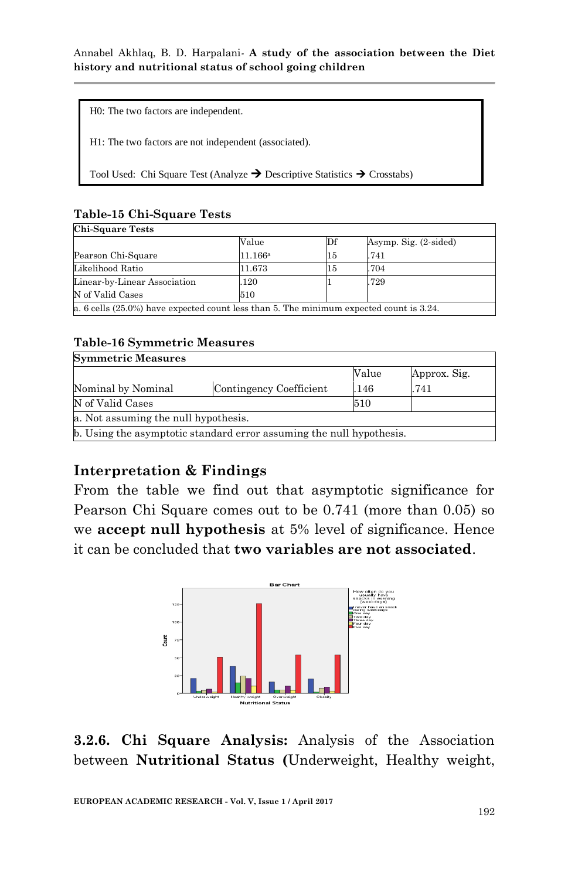H0: The two factors are independent.

H1: The two factors are not independent (associated).

Tool Used: Chi Square Test (Analyze  $\rightarrow$  Descriptive Statistics  $\rightarrow$  Crosstabs)

### **Table-15 Chi-Square Tests**

| <b>Chi-Square Tests</b>                                                                    |         |    |                       |  |  |  |
|--------------------------------------------------------------------------------------------|---------|----|-----------------------|--|--|--|
|                                                                                            | Value   | Df | Asymp. Sig. (2-sided) |  |  |  |
| Pearson Chi-Square                                                                         | 11.166a | 15 | .741                  |  |  |  |
| Likelihood Ratio                                                                           | 11.673  | 15 | .704                  |  |  |  |
| Linear-by-Linear Association                                                               | 120     |    | .729                  |  |  |  |
| N of Valid Cases                                                                           | 510     |    |                       |  |  |  |
| a. 6 cells $(25.0\%)$ have expected count less than 5. The minimum expected count is 3.24. |         |    |                       |  |  |  |

#### **Table-16 Symmetric Measures Symmetric Measures**

|                                                                      |                         | Value | Approx. Sig. |
|----------------------------------------------------------------------|-------------------------|-------|--------------|
| Nominal by Nominal                                                   | Contingency Coefficient | .146  | .741         |
| N of Valid Cases                                                     | 510                     |       |              |
| a. Not assuming the null hypothesis.                                 |                         |       |              |
| b. Using the asymptotic standard error assuming the null hypothesis. |                         |       |              |
|                                                                      |                         |       |              |

## **Interpretation & Findings**

From the table we find out that asymptotic significance for Pearson Chi Square comes out to be 0.741 (more than 0.05) so we **accept null hypothesis** at 5% level of significance. Hence it can be concluded that **two variables are not associated**.



**3.2.6. Chi Square Analysis:** Analysis of the Association between **Nutritional Status (**Underweight, Healthy weight,

**EUROPEAN ACADEMIC RESEARCH - Vol. V, Issue 1 / April 2017**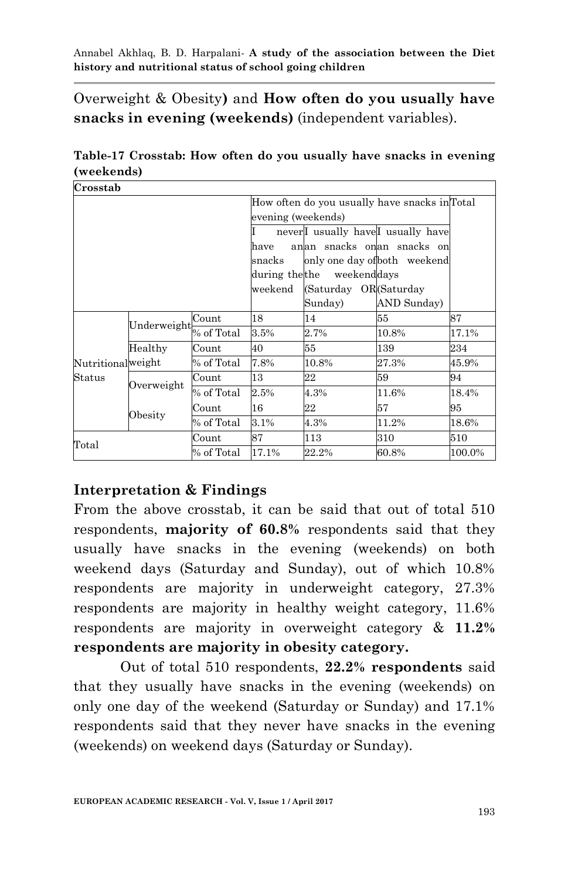Overweight & Obesity**)** and **How often do you usually have snacks in evening (weekends)** (independent variables).

**Table-17 Crosstab: How often do you usually have snacks in evening (weekends)**

| Crosstab          |             |            |                                               |                                                           |             |        |  |  |  |
|-------------------|-------------|------------|-----------------------------------------------|-----------------------------------------------------------|-------------|--------|--|--|--|
|                   |             |            | How often do you usually have snacks in Total |                                                           |             |        |  |  |  |
|                   |             |            | evening (weekends)                            |                                                           |             |        |  |  |  |
|                   |             |            |                                               | never <sup>I</sup> usually have <sup>I</sup> usually have |             |        |  |  |  |
|                   |             |            | have                                          | anan snacks onan snacks on                                |             |        |  |  |  |
|                   |             |            | snacks                                        | only one day of both weekend                              |             |        |  |  |  |
|                   |             |            | during the the                                | weekenddays                                               |             |        |  |  |  |
|                   |             |            | weekend                                       | (Saturday OR(Saturday)                                    |             |        |  |  |  |
|                   |             |            |                                               | Sunday)                                                   | AND Sunday) |        |  |  |  |
|                   |             | Count      | 18                                            | 14                                                        | 55          | 87     |  |  |  |
|                   | Underweight | % of Total | 3.5%                                          | 2.7%                                                      | 10.8%       | 17.1%  |  |  |  |
|                   | Healthy     | Count      | 40                                            | 55                                                        | 139         | 234    |  |  |  |
| Nutritionalweight |             | % of Total | 7.8%                                          | 10.8%                                                     | 27.3%       | 45.9%  |  |  |  |
| Status            |             | Count      | 13                                            | 22                                                        | 59          | 94     |  |  |  |
|                   | Overweight  | % of Total | 2.5%                                          | 4.3%                                                      | 11.6%       | 18.4%  |  |  |  |
|                   |             | Count      | 16                                            | 22                                                        | 57          | 95     |  |  |  |
|                   | Obesity     | % of Total | 3.1%                                          | 4.3%                                                      | 11.2%       | 18.6%  |  |  |  |
| Total             |             | Count      | 87                                            | 113                                                       | 310         | 510    |  |  |  |
|                   |             | % of Total | 17.1%                                         | 22.2%                                                     | 60.8%       | 100.0% |  |  |  |

## **Interpretation & Findings**

From the above crosstab, it can be said that out of total 510 respondents, **majority of 60.8%** respondents said that they usually have snacks in the evening (weekends) on both weekend days (Saturday and Sunday), out of which 10.8% respondents are majority in underweight category, 27.3% respondents are majority in healthy weight category, 11.6% respondents are majority in overweight category & **11.2% respondents are majority in obesity category.**

Out of total 510 respondents, **22.2% respondents** said that they usually have snacks in the evening (weekends) on only one day of the weekend (Saturday or Sunday) and 17.1% respondents said that they never have snacks in the evening (weekends) on weekend days (Saturday or Sunday).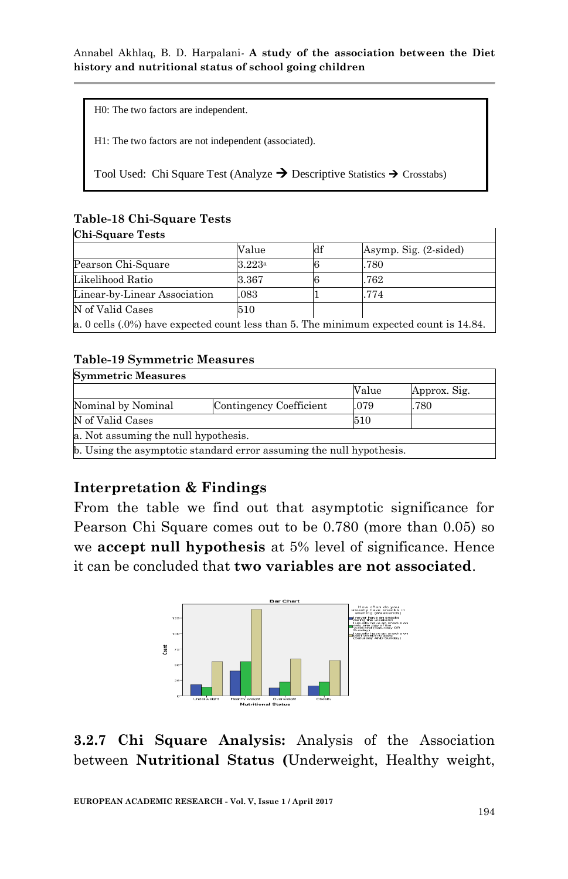H0: The two factors are independent.

H1: The two factors are not independent (associated).

Tool Used: Chi Square Test (Analyze  $\rightarrow$  Descriptive Statistics  $\rightarrow$  Crosstabs)

### **Table-18 Chi-Square Tests**

#### **Chi-Square Tests**

|                                                                                           | Value  | df | Asymp. Sig. (2-sided) |
|-------------------------------------------------------------------------------------------|--------|----|-----------------------|
| Pearson Chi-Square                                                                        | 3.223a |    | .780                  |
| Likelihood Ratio                                                                          | 3.367  |    | .762                  |
| Linear-by-Linear Association                                                              | .083   |    | .774                  |
| N of Valid Cases                                                                          | 510    |    |                       |
| a. 0 cells $(.0\%)$ have expected count less than 5. The minimum expected count is 14.84. |        |    |                       |

### **Table-19 Symmetric Measures**

| <b>Symmetric Measures</b>                                            |                         |       |              |  |  |  |  |
|----------------------------------------------------------------------|-------------------------|-------|--------------|--|--|--|--|
|                                                                      |                         | Value | Approx. Sig. |  |  |  |  |
| Nominal by Nominal                                                   | Contingency Coefficient | .079  | .780         |  |  |  |  |
| N of Valid Cases                                                     |                         | 510   |              |  |  |  |  |
| a. Not assuming the null hypothesis.                                 |                         |       |              |  |  |  |  |
| b. Using the asymptotic standard error assuming the null hypothesis. |                         |       |              |  |  |  |  |

## **Interpretation & Findings**

From the table we find out that asymptotic significance for Pearson Chi Square comes out to be 0.780 (more than 0.05) so we **accept null hypothesis** at 5% level of significance. Hence it can be concluded that **two variables are not associated**.



**3.2.7 Chi Square Analysis:** Analysis of the Association between **Nutritional Status (**Underweight, Healthy weight,

**EUROPEAN ACADEMIC RESEARCH - Vol. V, Issue 1 / April 2017**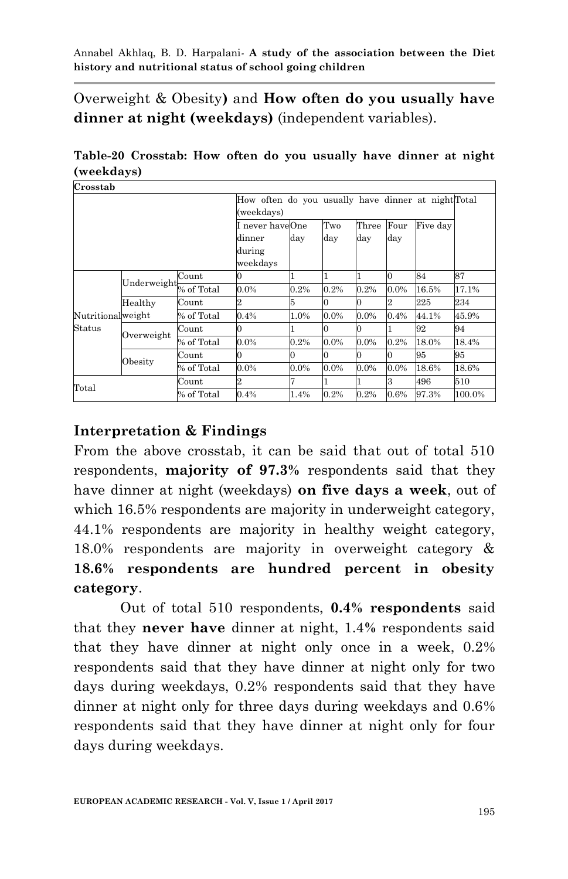Overweight & Obesity**)** and **How often do you usually have dinner at night (weekdays)** (independent variables).

**Table-20 Crosstab: How often do you usually have dinner at night (weekdays)**

| Crosstab            |             |            |                                                    |         |         |         |                |          |        |
|---------------------|-------------|------------|----------------------------------------------------|---------|---------|---------|----------------|----------|--------|
|                     |             |            | How often do you usually have dinner at nightTotal |         |         |         |                |          |        |
|                     |             |            | (weekdays)                                         |         |         |         |                |          |        |
|                     |             |            | I never haveOne                                    |         | Two     | Three   | Four           | Five day |        |
|                     |             |            | dinner                                             | day     | day     | day     | day            |          |        |
|                     |             |            | during                                             |         |         |         |                |          |        |
|                     |             |            | weekdays                                           |         |         |         |                |          |        |
|                     | Underweight | Count      |                                                    |         |         |         | $\Omega$       | 84       | 87     |
|                     |             | % of Total | $0.0\%$                                            | 0.2%    | 0.2%    | 0.2%    | $0.0\%$        | 16.5%    | 17.1%  |
|                     | Healthy     | Count      |                                                    |         |         |         | $\overline{2}$ | 225      | 234    |
| Nutritionalweight   |             | % of Total | 0.4%                                               | 1.0%    | $0.0\%$ | $0.0\%$ | 0.4%           | 44.1%    | 45.9%  |
| Status              | Overweight  | Count      | 0                                                  |         |         |         |                | 92       | 94     |
|                     |             | % of Total | $0.0\%$                                            | 0.2%    | $0.0\%$ | $0.0\%$ | 0.2%           | 18.0%    | 18.4%  |
|                     |             | Count      |                                                    |         |         |         | 0              | 95       | 95     |
|                     | $O$ besity  | % of Total | 0.0%                                               | $0.0\%$ | $0.0\%$ | $0.0\%$ | $0.0\%$        | 18.6%    | 18.6%  |
| $_{\mathrm{Total}}$ |             | Count      | 2                                                  |         |         |         | 3              | 496      | 510    |
|                     |             | % of Total | 0.4%                                               | 1.4%    | 0.2%    | 0.2%    | $0.6\%$        | 97.3%    | 100.0% |

## **Interpretation & Findings**

From the above crosstab, it can be said that out of total 510 respondents, **majority of 97.3%** respondents said that they have dinner at night (weekdays) **on five days a week**, out of which 16.5% respondents are majority in underweight category, 44.1% respondents are majority in healthy weight category, 18.0% respondents are majority in overweight category & **18.6% respondents are hundred percent in obesity category**.

Out of total 510 respondents, **0.4% respondents** said that they **never have** dinner at night, 1.4**%** respondents said that they have dinner at night only once in a week, 0.2% respondents said that they have dinner at night only for two days during weekdays, 0.2% respondents said that they have dinner at night only for three days during weekdays and 0.6% respondents said that they have dinner at night only for four days during weekdays.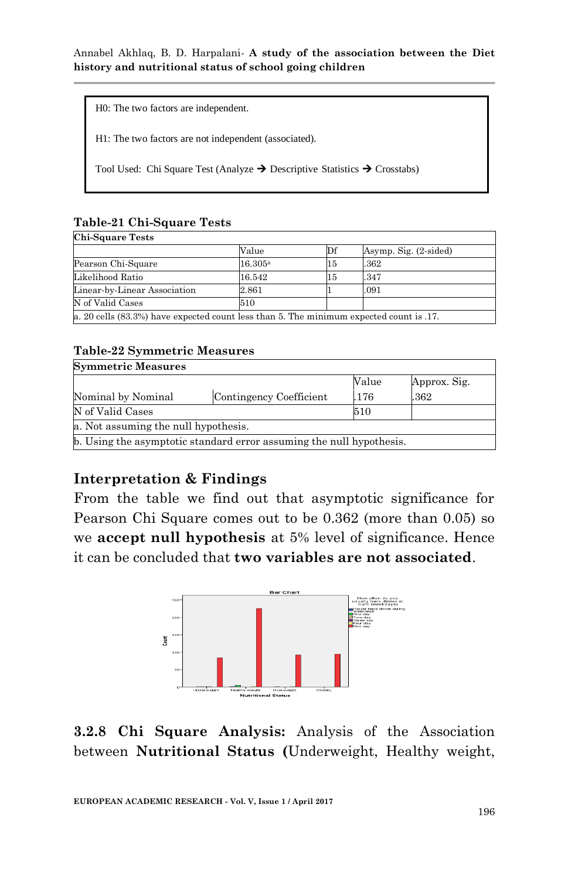| HO: The two factors are independent.                                                              |
|---------------------------------------------------------------------------------------------------|
| H1: The two factors are not independent (associated).                                             |
| Tool Used: Chi Square Test (Analyze $\rightarrow$ Descriptive Statistics $\rightarrow$ Crosstabs) |

### **Table-21 Chi-Square Tests**

| <b>Chi-Square Tests</b>                                                                 |                  |    |                       |  |  |  |
|-----------------------------------------------------------------------------------------|------------------|----|-----------------------|--|--|--|
|                                                                                         | Value            | Df | Asymp. Sig. (2-sided) |  |  |  |
| Pearson Chi-Square                                                                      | $16.305^{\rm a}$ | 15 | .362                  |  |  |  |
| Likelihood Ratio                                                                        | 16.542           | 15 | .347                  |  |  |  |
| Linear-by-Linear Association                                                            | 2.861            |    | .091                  |  |  |  |
| N of Valid Cases                                                                        | 510              |    |                       |  |  |  |
| a. 20 cells (83.3%) have expected count less than 5. The minimum expected count is .17. |                  |    |                       |  |  |  |

### **Table-22 Symmetric Measures**

| <b>Symmetric Measures</b>                                            |                         |       |              |  |  |  |  |
|----------------------------------------------------------------------|-------------------------|-------|--------------|--|--|--|--|
|                                                                      |                         | Value | Approx. Sig. |  |  |  |  |
| Nominal by Nominal                                                   | Contingency Coefficient | .176  | .362         |  |  |  |  |
| N of Valid Cases                                                     | 510                     |       |              |  |  |  |  |
| a. Not assuming the null hypothesis.                                 |                         |       |              |  |  |  |  |
| b. Using the asymptotic standard error assuming the null hypothesis. |                         |       |              |  |  |  |  |

## **Interpretation & Findings**

From the table we find out that asymptotic significance for Pearson Chi Square comes out to be 0.362 (more than 0.05) so we **accept null hypothesis** at 5% level of significance. Hence it can be concluded that **two variables are not associated**.



**3.2.8 Chi Square Analysis:** Analysis of the Association between **Nutritional Status (**Underweight, Healthy weight,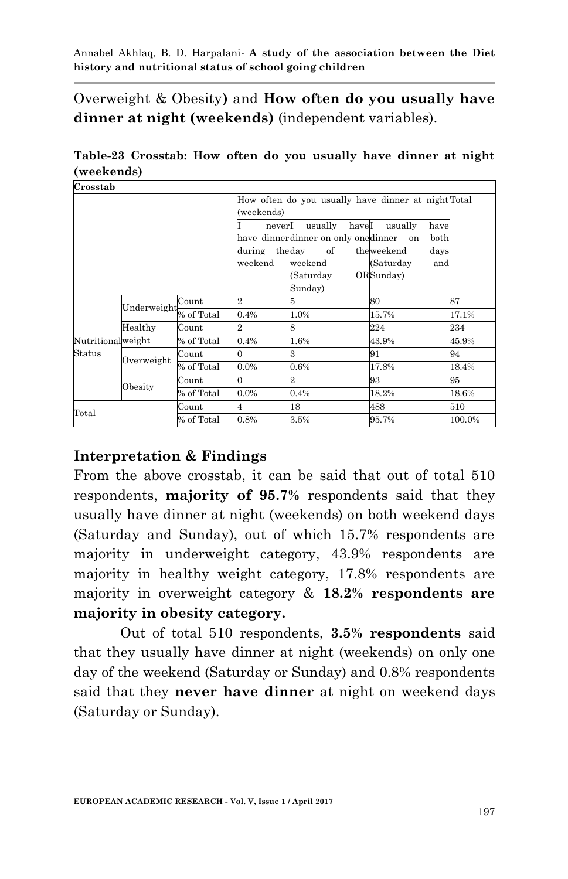Overweight & Obesity**)** and **How often do you usually have dinner at night (weekends)** (independent variables).

**Table-23 Crosstab: How often do you usually have dinner at night (weekends)**

| Crosstab          |             |            |                |                                     |                                                     |        |
|-------------------|-------------|------------|----------------|-------------------------------------|-----------------------------------------------------|--------|
|                   |             |            |                |                                     | How often do you usually have dinner at night Total |        |
|                   |             |            | (weekends)     |                                     |                                                     |        |
|                   |             |            | neverI         | haveI<br>usually                    | usually<br>have                                     |        |
|                   |             |            |                | have dinnerdinner on only onedinner | both<br>on                                          |        |
|                   |             |            | during theday  | of                                  | theweekend<br>days                                  |        |
|                   |             |            | weekend        | weekend                             | (Saturday<br>and                                    |        |
|                   |             |            |                | (Saturday                           | ORSunday)                                           |        |
|                   |             |            |                | Sunday)                             |                                                     |        |
|                   |             | Count      | $\overline{2}$ | 5                                   | 80                                                  | 87     |
|                   | Underweight | % of Total | 0.4%           | 1.0%                                | 15.7%                                               | 17.1%  |
|                   | Healthy     | Count      | 2              | 8                                   | 224                                                 | 234    |
| Nutritionalweight |             | % of Total | 0.4%           | 1.6%                                | 43.9%                                               | 45.9%  |
| Status            |             | Count      | 0              | 3                                   | 91                                                  | 94     |
|                   | Overweight  | % of Total | $0.0\%$        | 0.6%                                | 17.8%                                               | 18.4%  |
|                   |             | Count      | 0              |                                     | 93                                                  | 95     |
|                   | Obesity     | % of Total | $0.0\%$        | 0.4%                                | 18.2%                                               | 18.6%  |
|                   |             | Count      | 4              | 18                                  | 488                                                 | 510    |
| Total             |             | % of Total | 0.8%           | 3.5%                                | 95.7%                                               | 100.0% |

## **Interpretation & Findings**

From the above crosstab, it can be said that out of total 510 respondents, **majority of 95.7%** respondents said that they usually have dinner at night (weekends) on both weekend days (Saturday and Sunday), out of which 15.7% respondents are majority in underweight category, 43.9% respondents are majority in healthy weight category, 17.8% respondents are majority in overweight category & **18.2% respondents are majority in obesity category.**

Out of total 510 respondents, **3.5% respondents** said that they usually have dinner at night (weekends) on only one day of the weekend (Saturday or Sunday) and 0.8% respondents said that they **never have dinner** at night on weekend days (Saturday or Sunday).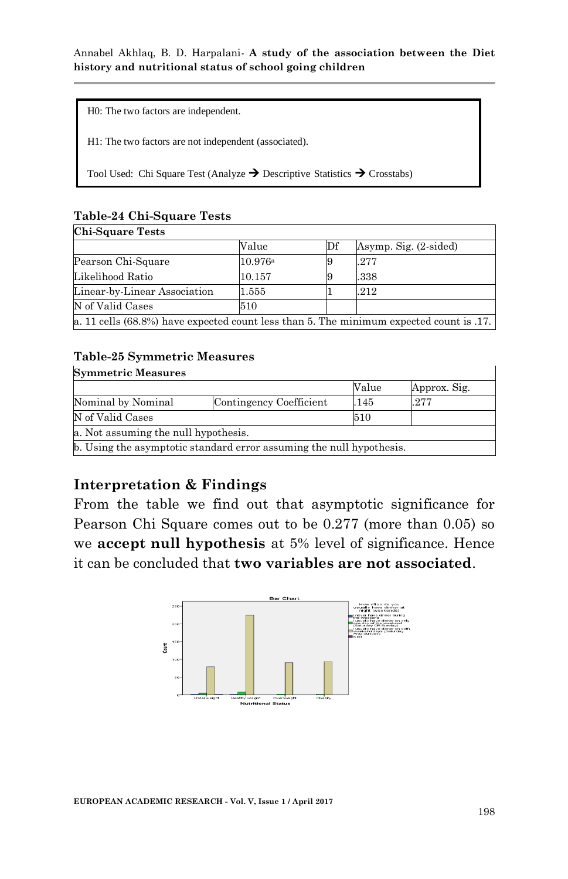H0: The two factors are independent.

H1: The two factors are not independent (associated).

Tool Used: Chi Square Test (Analyze  $\rightarrow$  Descriptive Statistics  $\rightarrow$  Crosstabs)

#### **Table-24 Chi-Square Tests Chi-Square Tests**

| <b>UIL DUUALE LESTS</b>                                                                 |         |    |                       |  |  |
|-----------------------------------------------------------------------------------------|---------|----|-----------------------|--|--|
|                                                                                         | Value   | Df | Asymp. Sig. (2-sided) |  |  |
| Pearson Chi-Square                                                                      | 10.976a |    | 277                   |  |  |
| Likelihood Ratio                                                                        | 10.157  |    | .338                  |  |  |
| Linear-by-Linear Association                                                            | 1.555   |    | .212                  |  |  |
| N of Valid Cases                                                                        | 510     |    |                       |  |  |
| a. 11 cells (68.8%) have expected count less than 5. The minimum expected count is .17. |         |    |                       |  |  |

#### **Table-25 Symmetric Measures**

| <b>Symmetric Measures</b>            |                                                                      |       |              |  |  |
|--------------------------------------|----------------------------------------------------------------------|-------|--------------|--|--|
|                                      |                                                                      | Value | Approx. Sig. |  |  |
| Nominal by Nominal                   | Contingency Coefficient                                              | .145  | .277         |  |  |
| N of Valid Cases                     |                                                                      | 510   |              |  |  |
| a. Not assuming the null hypothesis. |                                                                      |       |              |  |  |
|                                      | b. Using the asymptotic standard error assuming the null hypothesis. |       |              |  |  |

## **Interpretation & Findings**

From the table we find out that asymptotic significance for Pearson Chi Square comes out to be 0.277 (more than 0.05) so we **accept null hypothesis** at 5% level of significance. Hence it can be concluded that **two variables are not associated**.



٦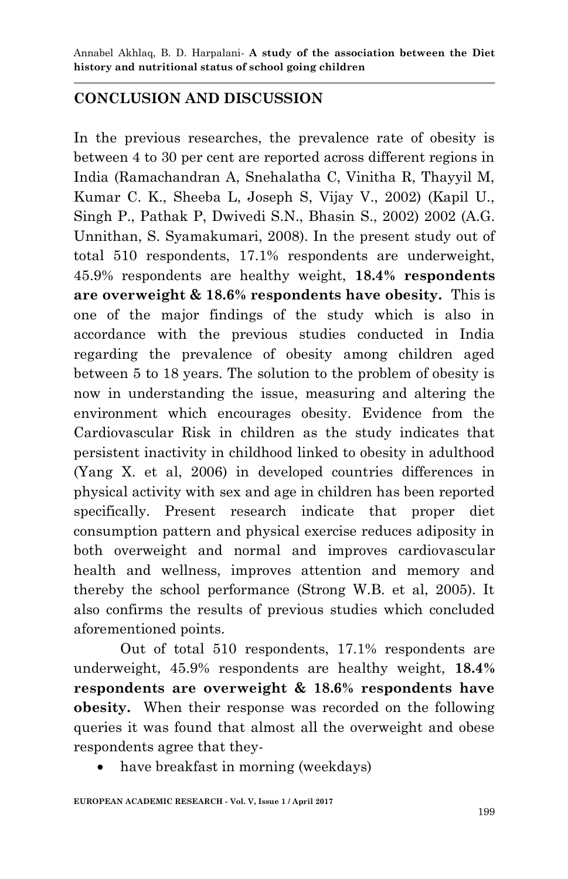## **CONCLUSION AND DISCUSSION**

In the previous researches, the prevalence rate of obesity is between 4 to 30 per cent are reported across different regions in India (Ramachandran A, Snehalatha C, Vinitha R, Thayyil M, Kumar C. K., Sheeba L, Joseph S, Vijay V., 2002) (Kapil U., Singh P., Pathak P, Dwivedi S.N., Bhasin S., 2002) 2002 (A.G. Unnithan, S. Syamakumari, 2008). In the present study out of total 510 respondents, 17.1% respondents are underweight, 45.9% respondents are healthy weight, **18.4% respondents are overweight & 18.6% respondents have obesity.** This is one of the major findings of the study which is also in accordance with the previous studies conducted in India regarding the prevalence of obesity among children aged between 5 to 18 years. The solution to the problem of obesity is now in understanding the issue, measuring and altering the environment which encourages obesity. Evidence from the Cardiovascular Risk in children as the study indicates that persistent inactivity in childhood linked to obesity in adulthood (Yang X. et al, 2006) in developed countries differences in physical activity with sex and age in children has been reported specifically. Present research indicate that proper diet consumption pattern and physical exercise reduces adiposity in both overweight and normal and improves cardiovascular health and wellness, improves attention and memory and thereby the school performance (Strong W.B. et al, 2005). It also confirms the results of previous studies which concluded aforementioned points.

Out of total 510 respondents, 17.1% respondents are underweight, 45.9% respondents are healthy weight, **18.4% respondents are overweight & 18.6% respondents have obesity.** When their response was recorded on the following queries it was found that almost all the overweight and obese respondents agree that they-

have breakfast in morning (weekdays)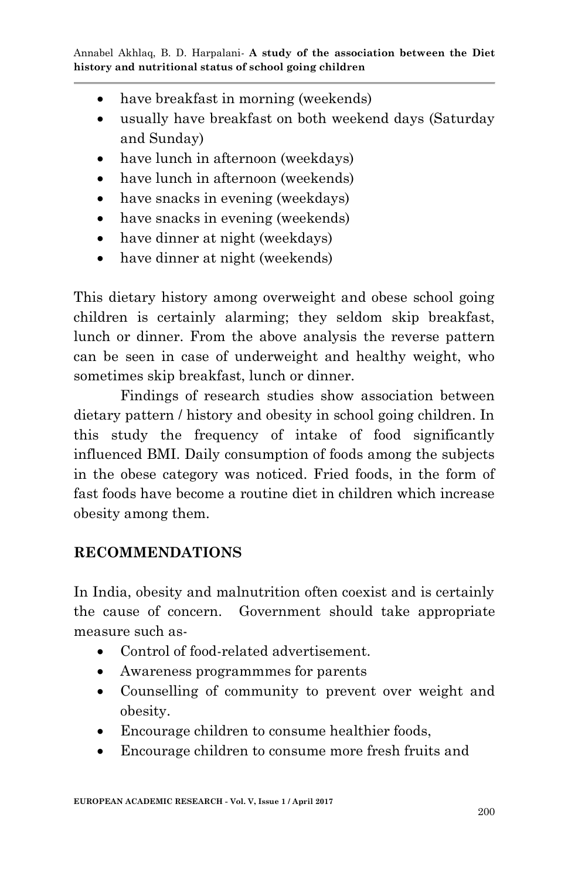- have breakfast in morning (weekends)
- usually have breakfast on both weekend days (Saturday and Sunday)
- have lunch in afternoon (weekdays)
- have lunch in afternoon (weekends)
- have snacks in evening (weekdays)
- have snacks in evening (weekends)
- have dinner at night (weekdays)
- have dinner at night (weekends)

This dietary history among overweight and obese school going children is certainly alarming; they seldom skip breakfast, lunch or dinner. From the above analysis the reverse pattern can be seen in case of underweight and healthy weight, who sometimes skip breakfast, lunch or dinner.

Findings of research studies show association between dietary pattern / history and obesity in school going children. In this study the frequency of intake of food significantly influenced BMI. Daily consumption of foods among the subjects in the obese category was noticed. Fried foods, in the form of fast foods have become a routine diet in children which increase obesity among them.

## **RECOMMENDATIONS**

In India, obesity and malnutrition often coexist and is certainly the cause of concern.Government should take appropriate measure such as-

- Control of food-related advertisement.
- Awareness programmmes for parents
- Counselling of community to prevent over weight and obesity.
- Encourage children to consume healthier foods,
- Encourage children to consume more fresh fruits and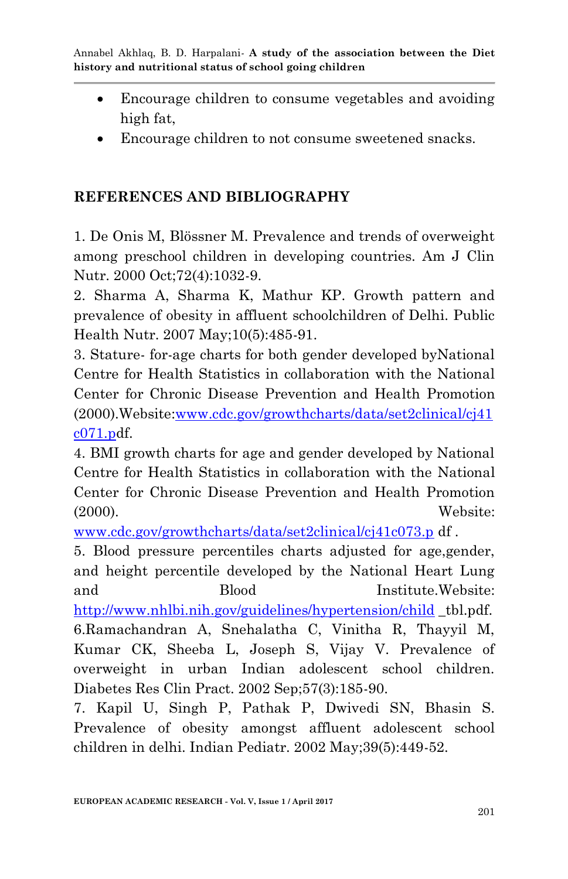- Encourage children to consume vegetables and avoiding high fat,
- Encourage children to not consume sweetened snacks.

## **REFERENCES AND BIBLIOGRAPHY**

1. De Onis M, Blössner M. Prevalence and trends of overweight among preschool children in developing countries. Am J Clin Nutr. 2000 Oct;72(4):1032-9.

2. Sharma A, Sharma K, Mathur KP. Growth pattern and prevalence of obesity in affluent schoolchildren of Delhi. Public Health Nutr. 2007 May;10(5):485-91.

3. Stature- for-age charts for both gender developed byNational Centre for Health Statistics in collaboration with the National Center for Chronic Disease Prevention and Health Promotion (2000).Website[:www.cdc.gov/growthcharts/data/set2clinical/cj41](http://www.cdc.gov/growthcharts/data/set2clinical/cj41c071.p) [c071.pd](http://www.cdc.gov/growthcharts/data/set2clinical/cj41c071.p)f.

4. BMI growth charts for age and gender developed by National Centre for Health Statistics in collaboration with the National Center for Chronic Disease Prevention and Health Promotion (2000). Website:

[www.cdc.gov/growthcharts/data/set2clinical/cj41c073.p](http://www.cdc.gov/growthcharts/data/set2clinical/cj41c073.p) df .

5. Blood pressure percentiles charts adjusted for age,gender, and height percentile developed by the National Heart Lung and Blood Institute.Website: <http://www.nhlbi.nih.gov/guidelines/hypertension/child> \_tbl.pdf. 6.Ramachandran A, Snehalatha C, Vinitha R, Thayyil M, Kumar CK, Sheeba L, Joseph S, Vijay V. Prevalence of overweight in urban Indian adolescent school children. Diabetes Res Clin Pract. 2002 Sep;57(3):185-90.

7. Kapil U, Singh P, Pathak P, Dwivedi SN, Bhasin S. Prevalence of obesity amongst affluent adolescent school children in delhi. Indian Pediatr. 2002 May;39(5):449-52.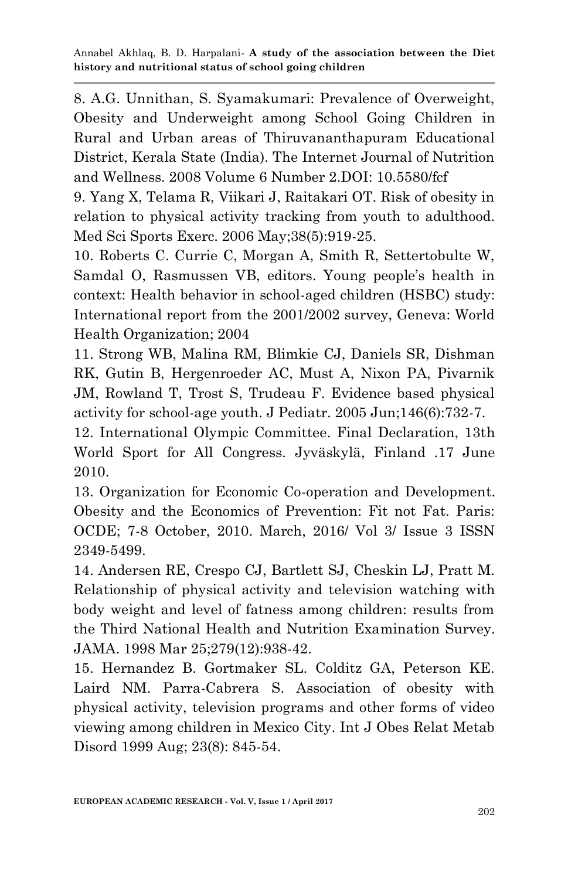8. A.G. Unnithan, S. Syamakumari: Prevalence of Overweight, Obesity and Underweight among School Going Children in Rural and Urban areas of Thiruvananthapuram Educational District, Kerala State (India). The Internet Journal of Nutrition and Wellness. 2008 Volume 6 Number 2.DOI: 10.5580/fcf

9. Yang X, Telama R, Viikari J, Raitakari OT. Risk of obesity in relation to physical activity tracking from youth to adulthood. Med Sci Sports Exerc. 2006 May;38(5):919-25.

10. Roberts C. Currie C, Morgan A, Smith R, Settertobulte W, Samdal O, Rasmussen VB, editors. Young people's health in context: Health behavior in school-aged children (HSBC) study: International report from the 2001/2002 survey, Geneva: World Health Organization; 2004

11. Strong WB, Malina RM, Blimkie CJ, Daniels SR, Dishman RK, Gutin B, Hergenroeder AC, Must A, Nixon PA, Pivarnik JM, Rowland T, Trost S, Trudeau F. Evidence based physical activity for school-age youth. J Pediatr. 2005 Jun;146(6):732-7.

12. International Olympic Committee. Final Declaration, 13th World Sport for All Congress. Jyväskylä, Finland .17 June 2010.

13. Organization for Economic Co-operation and Development. Obesity and the Economics of Prevention: Fit not Fat. Paris: OCDE; 7-8 October, 2010. March, 2016/ Vol 3/ Issue 3 ISSN 2349-5499.

14. Andersen RE, Crespo CJ, Bartlett SJ, Cheskin LJ, Pratt M. Relationship of physical activity and television watching with body weight and level of fatness among children: results from the Third National Health and Nutrition Examination Survey. JAMA. 1998 Mar 25;279(12):938-42.

15. Hernandez B. Gortmaker SL. Colditz GA, Peterson KE. Laird NM. Parra-Cabrera S. Association of obesity with physical activity, television programs and other forms of video viewing among children in Mexico City. Int J Obes Relat Metab Disord 1999 Aug; 23(8): 845-54.